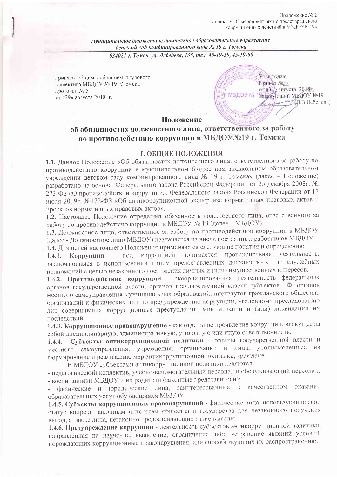Приложение № 2 к приказу «О мероприятиях по предотвращению коррупционных действий в МБДОУ №19»

муниципальное бюджетное дошкольное образовательное учреждение детский сад комбинированного вида № 19 г. Томска

634021 г. Томск, ул. Лебедева, 135, тел. 45-19-50, 45-19-60

Принято общим собранием трудового коллектива МБДОУ № 19 г. Томска Протокол № 5 от «29» августа 2018 г.



#### Положение

# об обязанностях должностного лица, ответственного за работу по противодействию коррупции в МБДОУ№19 г. Томска

#### **І. ОБШИЕ ПОЛОЖЕНИЯ**

1.1. Данное Положение «Об обязанностях должностного лица, ответственного за работу по противодействию коррупции в муниципальном бюджетном дошкольном образовательном учреждении детском саду комбинированного вида № 19 г. Томска» (далее - Положение) разработано на основе Федерального закона Российской Федерации от 25 декабря 2008г. № 273-ФЗ «О противодействии коррупции», Федерального закона Российской Федерации от 17 июля 2009г. №172-ФЗ «Об антикоррупционной экспертизе нормативных правовых актов и проектов нормативных правовых актов».

1.2. Настоящее Положение определяет обязанность должностного лица, ответственного за работу по противодействию коррупции в МБДОУ № 19 (далее - МБДОУ).

1.3. Должностное лицо, ответственное за работу по противодействию коррупции в МБДОУ (далее - Должностное лицо МБДОУ) назначается из числа постоянных работников МБДОУ.

1.4. Для целей настоящего Положения применяются следующие понятия и определения:

Коррупция - под коррупцией понимается противоправная деятельность.  $1.4.1.$ заключающаяся в использовании лицом предоставленных должностных или служебных полномочий с целью незаконного достижения личных и (или) имущественных интересов.

1.4.2. Противодействие коррупции - скоординированная деятельность федеральных органов государственной власти, органов государственной власти субъектов РФ, органов местного самоуправления муниципальных образований, институтов гражданского общества, организаций и физических лиц по предупреждению коррупции, уголовному преследованию лиц совершивших коррупционные преступления, минимизации и (или) ликвидации их последствий.

1.4.3. Коррупционное правонарушение - как отдельное проявление коррупции, влекущее за собой дисциплинарную, административную, уголовную или иную ответственность.

Субъекты антикоррупционной политики - органы государственной власти и  $1.4.4.$ местного самоуправления, учреждения, организации и лица, уполномоченные на формирование и реализацию мер антикоррупционной политики, граждане.

В МБДОУ субъектами антикоррупционной политики являются:

- педагогический коллектив, учебно-вспомогательный персонал и обслуживающий персонал; - воспитанники МБДОУ и их родители (законные представители);

физические и юридические лица, заинтересованные в качественном оказании образовательных услуг обучающимся МБДОУ.

1.4.5. Субъекты коррупционных правонарушений - физические лица, использующие свой статус вопреки законным интересам общества и государства для незаконного получения выгод, а также лица, незаконно предоставляющие такие выгоды.

1.4.6. Предупреждение коррупции - деятельность субъектов антикоррупционной политики, направленная на изучение, выявление, ограничение либо устранение явлений условий, порождающих коррупционные правонарушения, или способствующих их распространению.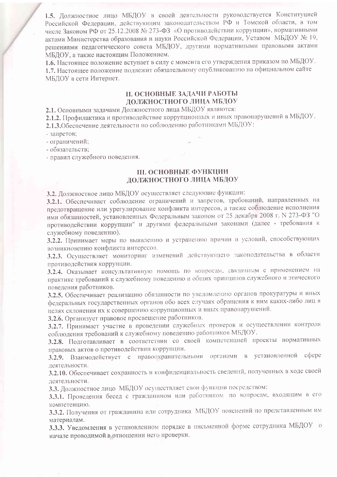1.5. Должностное лицо МБДОУ в своей деятельности руководствуется Конституцией Российской Федерации, действующим законодательством РФ и Томской области, в том числе Законом РФ от 25.12.2008 № 273-ФЗ «О противодействии коррупции», нормативными актами Министерства образования и науки Российской Федерации, Уставом МБДОУ № 19, решениями педагогического совета МБДОУ, другими нормативными правовыми актами МБЛОУ, а также настоящим Положением.

1.6. Настоящее положение вступает в силу с момента его утверждения приказом по МБДОУ. 1.7. Настоящее положение подлежит обязательному опубликованию на официальном сайте МБДОУ в сети Интернет.

### **II. ОСНОВНЫЕ ЗАДАЧИ РАБОТЫ** ДОЛЖНОСТНОГО ЛИЦА МБДОУ

2.1. Основными задачами Должностного лица МБДОУ являются:

2.1.2. Профилактика и противодействие коррупционных и иных правонарушений в МБДОУ.

2.1.3. Обеспечение деятельности по соблюдению работниками МБДОУ:

- запретов:
- ограничений;

- обязательств;

- правил служебного поведения.

## **III. ОСНОВНЫЕ ФУНКЦИИ ЛОЛЖНОСТНОГО ЛИЦА МБДОУ**

3.2. Должностное лицо МБДОУ осуществляет следующие функции:

3.2.1. Обеспечивает соблюдение ограничений и запретов, требований, направленных на предотвращение или урегулирование конфликта интересов, а также соблюдение исполнения ими обязанностей, установленных Федеральным законом от 25 декабря 2008 г. N 273-ФЗ "О противодействии коррупции" и другими федеральными законами (далее - требования к служебному поведению).

3.2.2. Принимает меры по выявлению и устранению причин и условий, способствующих возникновению конфликта интересов.

3.2.3. Осуществляет мониторинг изменений действующего законодательства в области противодействия коррупции.

3.2.4. Оказывает консультативную помощь по вопросам, связанным с применением на практике требований к служебному поведению и общих принципов служебного и этического поведения работников.

3.2.5. Обеспечивает реализацию обязанности по уведомлению органов прокуратуры и иных федеральных государственных органов обо всех случаях обращения к ним каких-либо лиц в целях склонения их к совершению коррупционных и иных правонарушений.

3.2.6. Организует правовое просвещение работников.

3.2.7. Принимает участие в проведении служебных проверок и осуществлении контроля соблюдения требований к служебному поведению работников МБДОУ.

3.2.8. Подготавливает в соответствии со своей компетенцией проекты нормативных правовых актов о противодействии коррупции.

3.2.9. Взаимодействует с правоохранительными органами в установленной сфере деятельности.

3.2.10. Обеспечивает сохранность и конфиденциальность сведений, полученных в ходе своей деятельности.

3.3. Должностное лицо МБДОУ осуществляет свои функции посредством:

3.3.1. Проведения бесед с гражданином или работником по вопросам, входящим в его компетенцию.

3.3.2. Получения от гражданина или сотрудника МБДОУ пояснений по представленным им материалам.

3.3.3. Уведомления в установленном порядке в письменной форме сотрудника МБДОУ о начале проводимой в отношении него проверки.